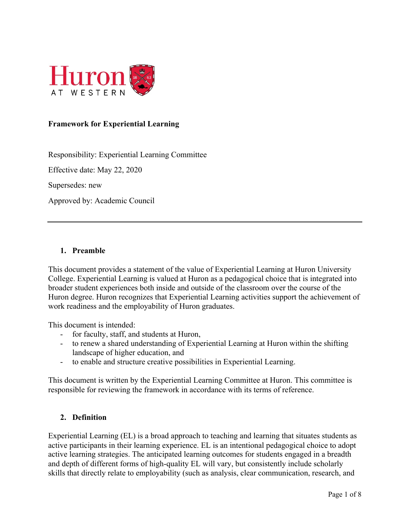

#### **Framework for Experiential Learning**

Responsibility: Experiential Learning Committee

Effective date: May 22, 2020

Supersedes: new

Approved by: Academic Council

#### **1. Preamble**

This document provides a statement of the value of Experiential Learning at Huron University College. Experiential Learning is valued at Huron as a pedagogical choice that is integrated into broader student experiences both inside and outside of the classroom over the course of the Huron degree. Huron recognizes that Experiential Learning activities support the achievement of work readiness and the employability of Huron graduates.

This document is intended:

- for faculty, staff, and students at Huron,
- to renew a shared understanding of Experiential Learning at Huron within the shifting landscape of higher education, and
- to enable and structure creative possibilities in Experiential Learning.

This document is written by the Experiential Learning Committee at Huron. This committee is responsible for reviewing the framework in accordance with its terms of reference.

#### **2. Definition**

Experiential Learning (EL) is a broad approach to teaching and learning that situates students as active participants in their learning experience. EL is an intentional pedagogical choice to adopt active learning strategies. The anticipated learning outcomes for students engaged in a breadth and depth of different forms of high-quality EL will vary, but consistently include scholarly skills that directly relate to employability (such as analysis, clear communication, research, and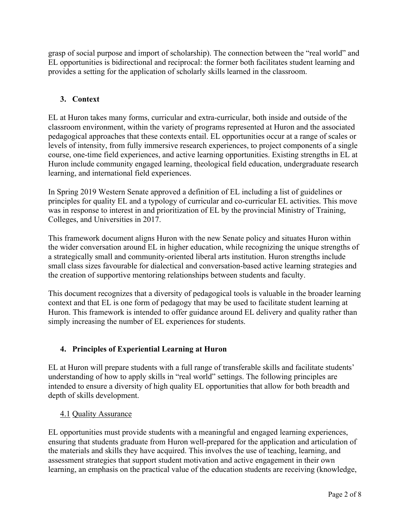grasp of social purpose and import of scholarship). The connection between the "real world" and EL opportunities is bidirectional and reciprocal: the former both facilitates student learning and provides a setting for the application of scholarly skills learned in the classroom.

# **3. Context**

EL at Huron takes many forms, curricular and extra-curricular, both inside and outside of the classroom environment, within the variety of programs represented at Huron and the associated pedagogical approaches that these contexts entail. EL opportunities occur at a range of scales or levels of intensity, from fully immersive research experiences, to project components of a single course, one-time field experiences, and active learning opportunities. Existing strengths in EL at Huron include community engaged learning, theological field education, undergraduate research learning, and international field experiences.

In Spring 2019 Western Senate approved a definition of EL including a list of guidelines or principles for quality EL and a typology of curricular and co-curricular EL activities. This move was in response to interest in and prioritization of EL by the provincial Ministry of Training, Colleges, and Universities in 2017.

This framework document aligns Huron with the new Senate policy and situates Huron within the wider conversation around EL in higher education, while recognizing the unique strengths of a strategically small and community-oriented liberal arts institution. Huron strengths include small class sizes favourable for dialectical and conversation-based active learning strategies and the creation of supportive mentoring relationships between students and faculty.

This document recognizes that a diversity of pedagogical tools is valuable in the broader learning context and that EL is one form of pedagogy that may be used to facilitate student learning at Huron. This framework is intended to offer guidance around EL delivery and quality rather than simply increasing the number of EL experiences for students.

# **4. Principles of Experiential Learning at Huron**

EL at Huron will prepare students with a full range of transferable skills and facilitate students' understanding of how to apply skills in "real world" settings. The following principles are intended to ensure a diversity of high quality EL opportunities that allow for both breadth and depth of skills development.

# 4.1 Quality Assurance

EL opportunities must provide students with a meaningful and engaged learning experiences, ensuring that students graduate from Huron well-prepared for the application and articulation of the materials and skills they have acquired. This involves the use of teaching, learning, and assessment strategies that support student motivation and active engagement in their own learning, an emphasis on the practical value of the education students are receiving (knowledge,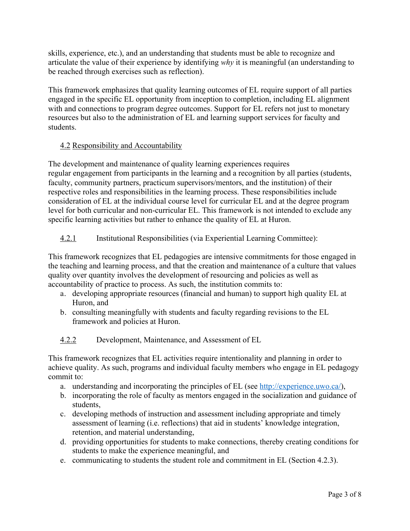skills, experience, etc.), and an understanding that students must be able to recognize and articulate the value of their experience by identifying *why* it is meaningful (an understanding to be reached through exercises such as reflection).

This framework emphasizes that quality learning outcomes of EL require support of all parties engaged in the specific EL opportunity from inception to completion, including EL alignment with and connections to program degree outcomes. Support for EL refers not just to monetary resources but also to the administration of EL and learning support services for faculty and students.

# 4.2 Responsibility and Accountability

The development and maintenance of quality learning experiences requires regular engagement from participants in the learning and a recognition by all parties (students, faculty, community partners, practicum supervisors/mentors, and the institution) of their respective roles and responsibilities in the learning process. These responsibilities include consideration of EL at the individual course level for curricular EL and at the degree program level for both curricular and non-curricular EL. This framework is not intended to exclude any specific learning activities but rather to enhance the quality of EL at Huron.

# 4.2.1 Institutional Responsibilities (via Experiential Learning Committee):

This framework recognizes that EL pedagogies are intensive commitments for those engaged in the teaching and learning process, and that the creation and maintenance of a culture that values quality over quantity involves the development of resourcing and policies as well as accountability of practice to process. As such, the institution commits to:

- a. developing appropriate resources (financial and human) to support high quality EL at Huron, and
- b. consulting meaningfully with students and faculty regarding revisions to the EL framework and policies at Huron.

# 4.2.2 Development, Maintenance, and Assessment of EL

This framework recognizes that EL activities require intentionality and planning in order to achieve quality. As such, programs and individual faculty members who engage in EL pedagogy commit to:

- a. understanding and incorporating the principles of EL (see http://experience.uwo.ca/),
- b. incorporating the role of faculty as mentors engaged in the socialization and guidance of students,
- c. developing methods of instruction and assessment including appropriate and timely assessment of learning (i.e. reflections) that aid in students' knowledge integration, retention, and material understanding,
- d. providing opportunities for students to make connections, thereby creating conditions for students to make the experience meaningful, and
- e. communicating to students the student role and commitment in EL (Section 4.2.3).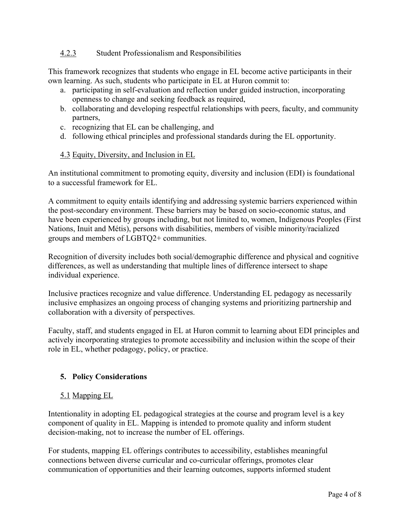#### 4.2.3 Student Professionalism and Responsibilities

This framework recognizes that students who engage in EL become active participants in their own learning. As such, students who participate in EL at Huron commit to:

- a. participating in self-evaluation and reflection under guided instruction, incorporating openness to change and seeking feedback as required,
- b. collaborating and developing respectful relationships with peers, faculty, and community partners,
- c. recognizing that EL can be challenging, and
- d. following ethical principles and professional standards during the EL opportunity.

# 4.3 Equity, Diversity, and Inclusion in EL

An institutional commitment to promoting equity, diversity and inclusion (EDI) is foundational to a successful framework for EL.

A commitment to equity entails identifying and addressing systemic barriers experienced within the post-secondary environment. These barriers may be based on socio-economic status, and have been experienced by groups including, but not limited to, women, Indigenous Peoples (First Nations, Inuit and Métis), persons with disabilities, members of visible minority/racialized groups and members of LGBTQ2+ communities.

Recognition of diversity includes both social/demographic difference and physical and cognitive differences, as well as understanding that multiple lines of difference intersect to shape individual experience.

Inclusive practices recognize and value difference. Understanding EL pedagogy as necessarily inclusive emphasizes an ongoing process of changing systems and prioritizing partnership and collaboration with a diversity of perspectives.

Faculty, staff, and students engaged in EL at Huron commit to learning about EDI principles and actively incorporating strategies to promote accessibility and inclusion within the scope of their role in EL, whether pedagogy, policy, or practice.

# **5. Policy Considerations**

# 5.1 Mapping EL

Intentionality in adopting EL pedagogical strategies at the course and program level is a key component of quality in EL. Mapping is intended to promote quality and inform student decision-making, not to increase the number of EL offerings.

For students, mapping EL offerings contributes to accessibility, establishes meaningful connections between diverse curricular and co-curricular offerings, promotes clear communication of opportunities and their learning outcomes, supports informed student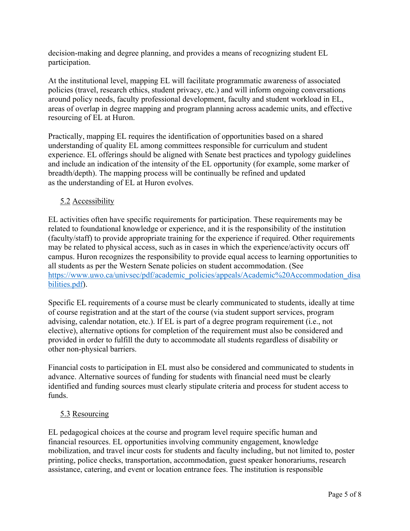decision-making and degree planning, and provides a means of recognizing student EL participation.

At the institutional level, mapping EL will facilitate programmatic awareness of associated policies (travel, research ethics, student privacy, etc.) and will inform ongoing conversations around policy needs, faculty professional development, faculty and student workload in EL, areas of overlap in degree mapping and program planning across academic units, and effective resourcing of EL at Huron.

Practically, mapping EL requires the identification of opportunities based on a shared understanding of quality EL among committees responsible for curriculum and student experience. EL offerings should be aligned with Senate best practices and typology guidelines and include an indication of the intensity of the EL opportunity (for example, some marker of breadth/depth). The mapping process will be continually be refined and updated as the understanding of EL at Huron evolves.

# 5.2 Accessibility

EL activities often have specific requirements for participation. These requirements may be related to foundational knowledge or experience, and it is the responsibility of the institution (faculty/staff) to provide appropriate training for the experience if required. Other requirements may be related to physical access, such as in cases in which the experience/activity occurs off campus. Huron recognizes the responsibility to provide equal access to learning opportunities to all students as per the Western Senate policies on student accommodation. (See https://www.uwo.ca/univsec/pdf/academic\_policies/appeals/Academic%20Accommodation\_disa bilities.pdf).

Specific EL requirements of a course must be clearly communicated to students, ideally at time of course registration and at the start of the course (via student support services, program advising, calendar notation, etc.). If EL is part of a degree program requirement (i.e., not elective), alternative options for completion of the requirement must also be considered and provided in order to fulfill the duty to accommodate all students regardless of disability or other non-physical barriers.

Financial costs to participation in EL must also be considered and communicated to students in advance. Alternative sources of funding for students with financial need must be clearly identified and funding sources must clearly stipulate criteria and process for student access to funds.

# 5.3 Resourcing

EL pedagogical choices at the course and program level require specific human and financial resources. EL opportunities involving community engagement, knowledge mobilization, and travel incur costs for students and faculty including, but not limited to, poster printing, police checks, transportation, accommodation, guest speaker honorariums, research assistance, catering, and event or location entrance fees. The institution is responsible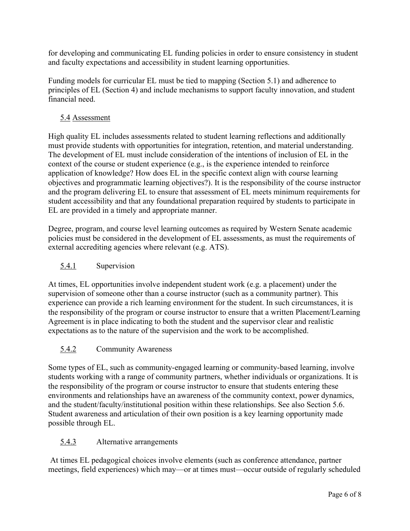for developing and communicating EL funding policies in order to ensure consistency in student and faculty expectations and accessibility in student learning opportunities.

Funding models for curricular EL must be tied to mapping (Section 5.1) and adherence to principles of EL (Section 4) and include mechanisms to support faculty innovation, and student financial need.

# 5.4 Assessment

High quality EL includes assessments related to student learning reflections and additionally must provide students with opportunities for integration, retention, and material understanding. The development of EL must include consideration of the intentions of inclusion of EL in the context of the course or student experience (e.g., is the experience intended to reinforce application of knowledge? How does EL in the specific context align with course learning objectives and programmatic learning objectives?). It is the responsibility of the course instructor and the program delivering EL to ensure that assessment of EL meets minimum requirements for student accessibility and that any foundational preparation required by students to participate in EL are provided in a timely and appropriate manner.

Degree, program, and course level learning outcomes as required by Western Senate academic policies must be considered in the development of EL assessments, as must the requirements of external accrediting agencies where relevant (e.g. ATS).

# 5.4.1 Supervision

At times, EL opportunities involve independent student work (e.g. a placement) under the supervision of someone other than a course instructor (such as a community partner). This experience can provide a rich learning environment for the student. In such circumstances, it is the responsibility of the program or course instructor to ensure that a written Placement/Learning Agreement is in place indicating to both the student and the supervisor clear and realistic expectations as to the nature of the supervision and the work to be accomplished.

# 5.4.2 Community Awareness

Some types of EL, such as community-engaged learning or community-based learning, involve students working with a range of community partners, whether individuals or organizations. It is the responsibility of the program or course instructor to ensure that students entering these environments and relationships have an awareness of the community context, power dynamics, and the student/faculty/institutional position within these relationships. See also Section 5.6. Student awareness and articulation of their own position is a key learning opportunity made possible through EL.

# 5.4.3 Alternative arrangements

At times EL pedagogical choices involve elements (such as conference attendance, partner meetings, field experiences) which may—or at times must—occur outside of regularly scheduled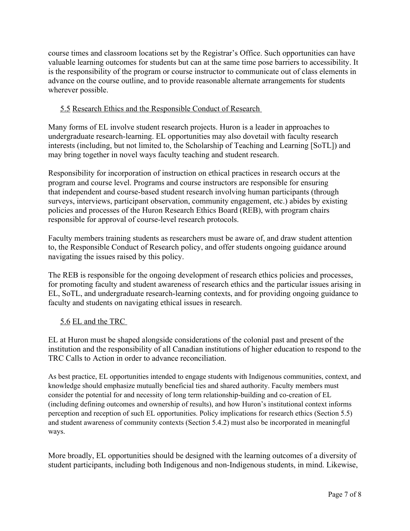course times and classroom locations set by the Registrar's Office. Such opportunities can have valuable learning outcomes for students but can at the same time pose barriers to accessibility. It is the responsibility of the program or course instructor to communicate out of class elements in advance on the course outline, and to provide reasonable alternate arrangements for students wherever possible.

# 5.5 Research Ethics and the Responsible Conduct of Research

Many forms of EL involve student research projects. Huron is a leader in approaches to undergraduate research-learning. EL opportunities may also dovetail with faculty research interests (including, but not limited to, the Scholarship of Teaching and Learning [SoTL]) and may bring together in novel ways faculty teaching and student research.

Responsibility for incorporation of instruction on ethical practices in research occurs at the program and course level. Programs and course instructors are responsible for ensuring that independent and course-based student research involving human participants (through surveys, interviews, participant observation, community engagement, etc.) abides by existing policies and processes of the Huron Research Ethics Board (REB), with program chairs responsible for approval of course-level research protocols.

Faculty members training students as researchers must be aware of, and draw student attention to, the Responsible Conduct of Research policy, and offer students ongoing guidance around navigating the issues raised by this policy.

The REB is responsible for the ongoing development of research ethics policies and processes, for promoting faculty and student awareness of research ethics and the particular issues arising in EL, SoTL, and undergraduate research-learning contexts, and for providing ongoing guidance to faculty and students on navigating ethical issues in research.

# 5.6 EL and the TRC

EL at Huron must be shaped alongside considerations of the colonial past and present of the institution and the responsibility of all Canadian institutions of higher education to respond to the TRC Calls to Action in order to advance reconciliation.

As best practice, EL opportunities intended to engage students with Indigenous communities, context, and knowledge should emphasize mutually beneficial ties and shared authority. Faculty members must consider the potential for and necessity of long term relationship-building and co-creation of EL (including defining outcomes and ownership of results), and how Huron's institutional context informs perception and reception of such EL opportunities. Policy implications for research ethics (Section 5.5) and student awareness of community contexts (Section 5.4.2) must also be incorporated in meaningful ways.

More broadly, EL opportunities should be designed with the learning outcomes of a diversity of student participants, including both Indigenous and non-Indigenous students, in mind. Likewise,